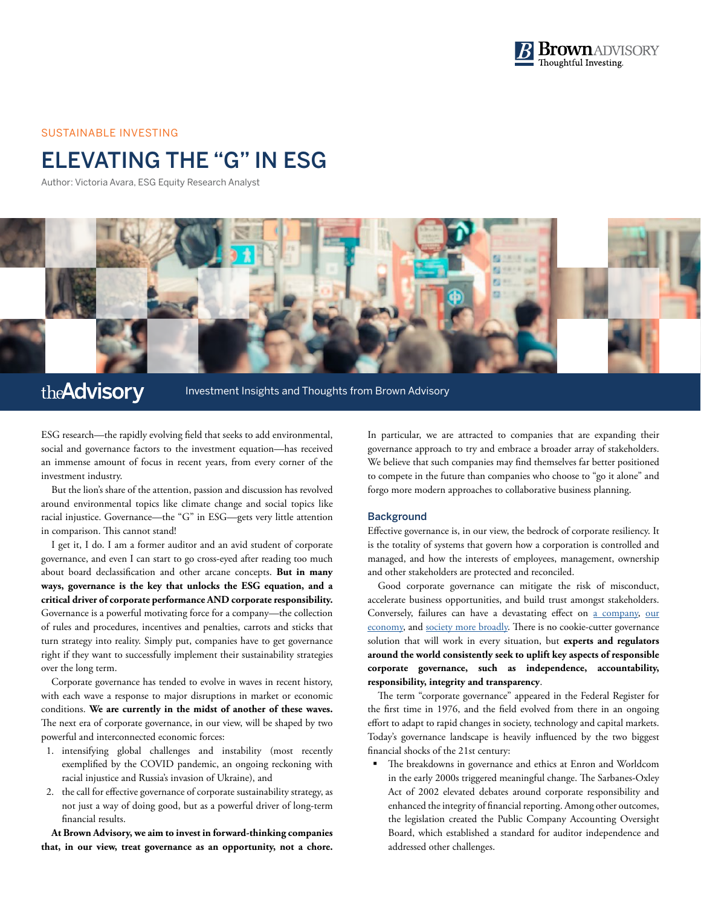

#### SUSTAINABLE INVESTING

# ELEVATING THE "G" IN ESG

Author: Victoria Avara, ESG Equity Research Analyst



## the **Advisory**

Investment Insights and Thoughts from Brown Advisory

ESG research—the rapidly evolving field that seeks to add environmental, social and governance factors to the investment equation—has received an immense amount of focus in recent years, from every corner of the investment industry.

But the lion's share of the attention, passion and discussion has revolved around environmental topics like climate change and social topics like racial injustice. Governance—the "G" in ESG—gets very little attention in comparison. This cannot stand!

I get it, I do. I am a former auditor and an avid student of corporate governance, and even I can start to go cross-eyed after reading too much about board declassification and other arcane concepts. **But in many ways, governance is the key that unlocks the ESG equation, and a critical driver of corporate performance AND corporate responsibility.** Governance is a powerful motivating force for a company—the collection of rules and procedures, incentives and penalties, carrots and sticks that turn strategy into reality. Simply put, companies have to get governance right if they want to successfully implement their sustainability strategies over the long term.

Corporate governance has tended to evolve in waves in recent history, with each wave a response to major disruptions in market or economic conditions. **We are currently in the midst of another of these waves.** The next era of corporate governance, in our view, will be shaped by two powerful and interconnected economic forces:

- 1. intensifying global challenges and instability (most recently exemplified by the COVID pandemic, an ongoing reckoning with racial injustice and Russia's invasion of Ukraine), and
- 2. the call for effective governance of corporate sustainability strategy, as not just a way of doing good, but as a powerful driver of long-term financial results.

**At Brown Advisory, we aim to invest in forward-thinking companies that, in our view, treat governance as an opportunity, not a chore.**

In particular, we are attracted to companies that are expanding their governance approach to try and embrace a broader array of stakeholders. We believe that such companies may find themselves far better positioned to compete in the future than companies who choose to "go it alone" and forgo more modern approaches to collaborative business planning.

### **Background**

Effective governance is, in our view, the bedrock of corporate resiliency. It is the totality of systems that govern how a corporation is controlled and managed, and how the interests of employees, management, ownership and other stakeholders are protected and reconciled.

Good corporate governance can mitigate the risk of misconduct, accelerate business opportunities, and build trust amongst stakeholders. Conversely, failures can have a devastating effect on [a company](https://www.fbi.gov/history/famous-cases/enron), [our](https://www.govinfo.gov/content/pkg/GPO-FCIC/pdf/GPO-FCIC.pdf)  [economy](https://www.govinfo.gov/content/pkg/GPO-FCIC/pdf/GPO-FCIC.pdf), and [society more broadly](https://ocean.si.edu/conservation/pollution/gulf-oil-spill). There is no cookie-cutter governance solution that will work in every situation, but **experts and regulators around the world consistently seek to uplift key aspects of responsible corporate governance, such as independence, accountability, responsibility, integrity and transparency**.

The term "corporate governance" appeared in the Federal Register for the first time in 1976, and the field evolved from there in an ongoing effort to adapt to rapid changes in society, technology and capital markets. Today's governance landscape is heavily influenced by the two biggest financial shocks of the 21st century:

 The breakdowns in governance and ethics at Enron and Worldcom in the early 2000s triggered meaningful change. The Sarbanes-Oxley Act of 2002 elevated debates around corporate responsibility and enhanced the integrity of financial reporting. Among other outcomes, the legislation created the Public Company Accounting Oversight Board, which established a standard for auditor independence and addressed other challenges.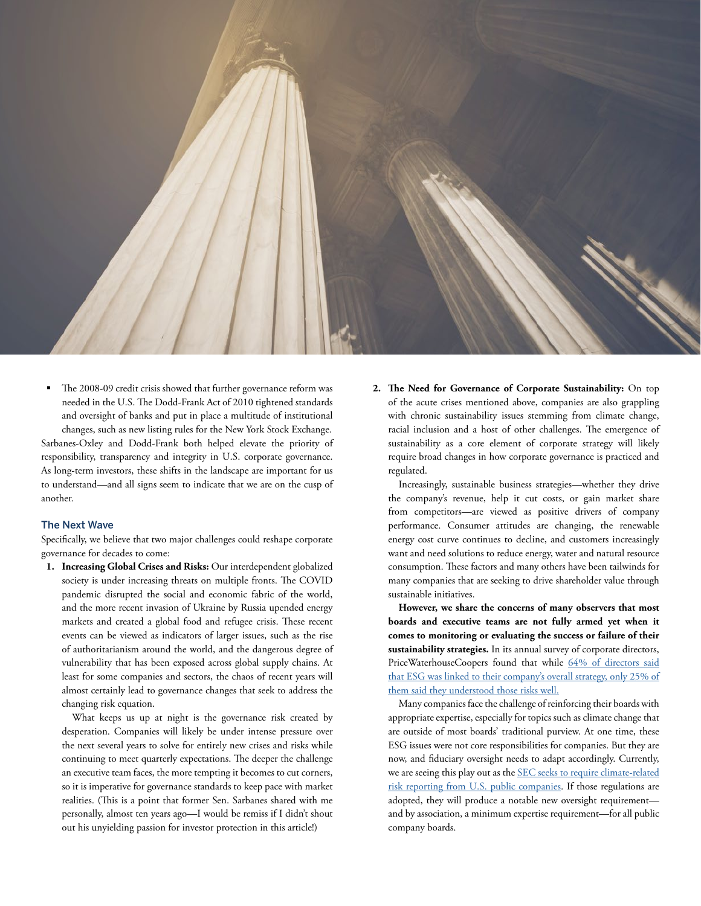

 The 2008-09 credit crisis showed that further governance reform was needed in the U.S. The Dodd-Frank Act of 2010 tightened standards and oversight of banks and put in place a multitude of institutional changes, such as new listing rules for the New York Stock Exchange. Sarbanes-Oxley and Dodd-Frank both helped elevate the priority of responsibility, transparency and integrity in U.S. corporate governance. As long-term investors, these shifts in the landscape are important for us to understand—and all signs seem to indicate that we are on the cusp of another.

#### The Next Wave

Specifically, we believe that two major challenges could reshape corporate governance for decades to come:

**1. Increasing Global Crises and Risks:** Our interdependent globalized society is under increasing threats on multiple fronts. The COVID pandemic disrupted the social and economic fabric of the world, and the more recent invasion of Ukraine by Russia upended energy markets and created a global food and refugee crisis. These recent events can be viewed as indicators of larger issues, such as the rise of authoritarianism around the world, and the dangerous degree of vulnerability that has been exposed across global supply chains. At least for some companies and sectors, the chaos of recent years will almost certainly lead to governance changes that seek to address the changing risk equation.

What keeps us up at night is the governance risk created by desperation. Companies will likely be under intense pressure over the next several years to solve for entirely new crises and risks while continuing to meet quarterly expectations. The deeper the challenge an executive team faces, the more tempting it becomes to cut corners, so it is imperative for governance standards to keep pace with market realities. (This is a point that former Sen. Sarbanes shared with me personally, almost ten years ago—I would be remiss if I didn't shout out his unyielding passion for investor protection in this article!)

**2. The Need for Governance of Corporate Sustainability:** On top of the acute crises mentioned above, companies are also grappling with chronic sustainability issues stemming from climate change, racial inclusion and a host of other challenges. The emergence of sustainability as a core element of corporate strategy will likely require broad changes in how corporate governance is practiced and regulated.

Increasingly, sustainable business strategies—whether they drive the company's revenue, help it cut costs, or gain market share from competitors—are viewed as positive drivers of company performance. Consumer attitudes are changing, the renewable energy cost curve continues to decline, and customers increasingly want and need solutions to reduce energy, water and natural resource consumption. These factors and many others have been tailwinds for many companies that are seeking to drive shareholder value through sustainable initiatives.

**However, we share the concerns of many observers that most boards and executive teams are not fully armed yet when it comes to monitoring or evaluating the success or failure of their sustainability strategies.** In its annual survey of corporate directors, PriceWaterhouseCoopers found that while [64% of directors said](https://www.pwc.com/us/en/services/governance-insights-center/library/annual-corporate-directors-survey.html) [that ESG was linked to their company's overall strategy, only 25% of](https://www.pwc.com/us/en/services/governance-insights-center/library/annual-corporate-directors-survey.html) [them said they understood those risks well.](https://www.pwc.com/us/en/services/governance-insights-center/library/annual-corporate-directors-survey.html)

Many companies face the challenge of reinforcing their boards with appropriate expertise, especially for topics such as climate change that are outside of most boards' traditional purview. At one time, these ESG issues were not core responsibilities for companies. But they are now, and fiduciary oversight needs to adapt accordingly. Currently, we are seeing this play out as the [SEC seeks to require climate-related](https://www.sec.gov/news/press-release/2022-46) [risk reporting from U.S. public companies.](https://www.sec.gov/news/press-release/2022-46) If those regulations are adopted, they will produce a notable new oversight requirement and by association, a minimum expertise requirement—for all public company boards.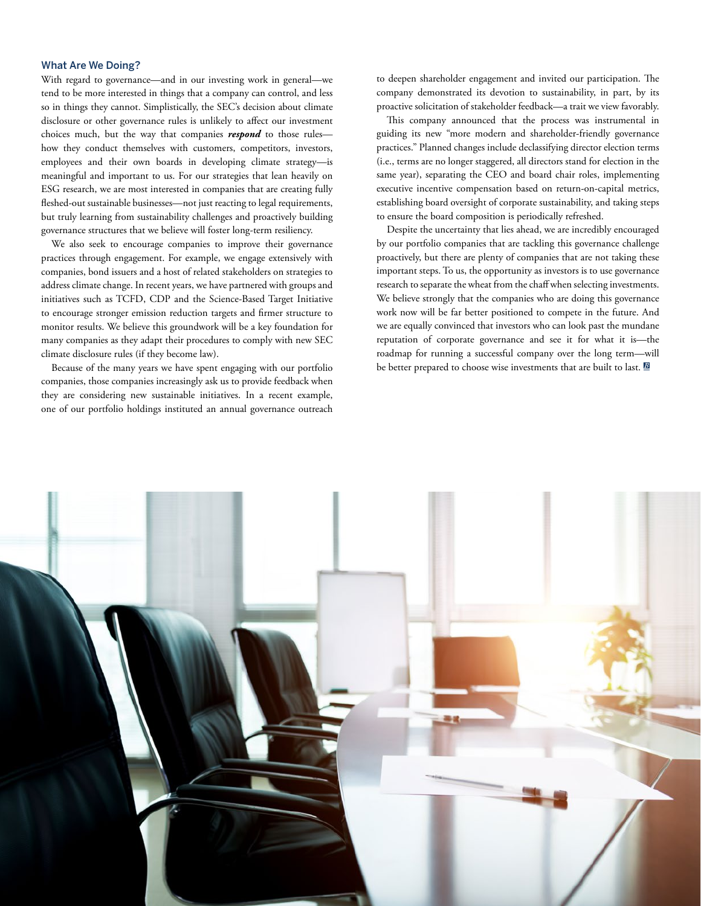#### What Are We Doing?

With regard to governance—and in our investing work in general—we tend to be more interested in things that a company can control, and less so in things they cannot. Simplistically, the SEC's decision about climate disclosure or other governance rules is unlikely to affect our investment choices much, but the way that companies *respond* to those rules how they conduct themselves with customers, competitors, investors, employees and their own boards in developing climate strategy—is meaningful and important to us. For our strategies that lean heavily on ESG research, we are most interested in companies that are creating fully fleshed-out sustainable businesses—not just reacting to legal requirements, but truly learning from sustainability challenges and proactively building governance structures that we believe will foster long-term resiliency.

We also seek to encourage companies to improve their governance practices through engagement. For example, we engage extensively with companies, bond issuers and a host of related stakeholders on strategies to address climate change. In recent years, we have partnered with groups and initiatives such as TCFD, CDP and the Science-Based Target Initiative to encourage stronger emission reduction targets and firmer structure to monitor results. We believe this groundwork will be a key foundation for many companies as they adapt their procedures to comply with new SEC climate disclosure rules (if they become law).

Because of the many years we have spent engaging with our portfolio companies, those companies increasingly ask us to provide feedback when they are considering new sustainable initiatives. In a recent example, one of our portfolio holdings instituted an annual governance outreach to deepen shareholder engagement and invited our participation. The company demonstrated its devotion to sustainability, in part, by its proactive solicitation of stakeholder feedback—a trait we view favorably.

This company announced that the process was instrumental in guiding its new "more modern and shareholder-friendly governance practices." Planned changes include declassifying director election terms (i.e., terms are no longer staggered, all directors stand for election in the same year), separating the CEO and board chair roles, implementing executive incentive compensation based on return-on-capital metrics, establishing board oversight of corporate sustainability, and taking steps to ensure the board composition is periodically refreshed.

Despite the uncertainty that lies ahead, we are incredibly encouraged by our portfolio companies that are tackling this governance challenge proactively, but there are plenty of companies that are not taking these important steps. To us, the opportunity as investors is to use governance research to separate the wheat from the chaff when selecting investments. We believe strongly that the companies who are doing this governance work now will be far better positioned to compete in the future. And we are equally convinced that investors who can look past the mundane reputation of corporate governance and see it for what it is—the roadmap for running a successful company over the long term—will be better prepared to choose wise investments that are built to last. **B**